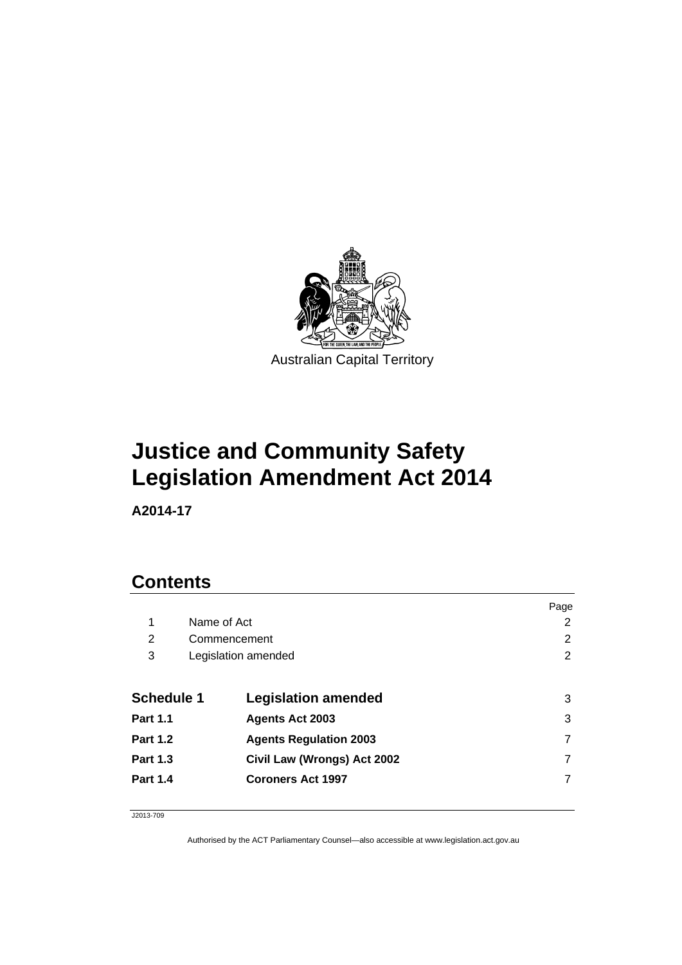

# **Justice and Community Safety Legislation Amendment Act 2014**

**A2014-17** 

# **Contents**

|                   |              |                               | Page |
|-------------------|--------------|-------------------------------|------|
| 1                 | Name of Act  |                               | 2    |
| 2                 | Commencement |                               | 2    |
| 3                 |              | Legislation amended           | 2    |
|                   |              |                               |      |
| <b>Schedule 1</b> |              | <b>Legislation amended</b>    | 3    |
| <b>Part 1.1</b>   |              | <b>Agents Act 2003</b>        | 3    |
| <b>Part 1.2</b>   |              | <b>Agents Regulation 2003</b> |      |
| <b>Part 1.3</b>   |              | Civil Law (Wrongs) Act 2002   |      |
| <b>Part 1.4</b>   |              | <b>Coroners Act 1997</b>      |      |
|                   |              |                               |      |

J2013-709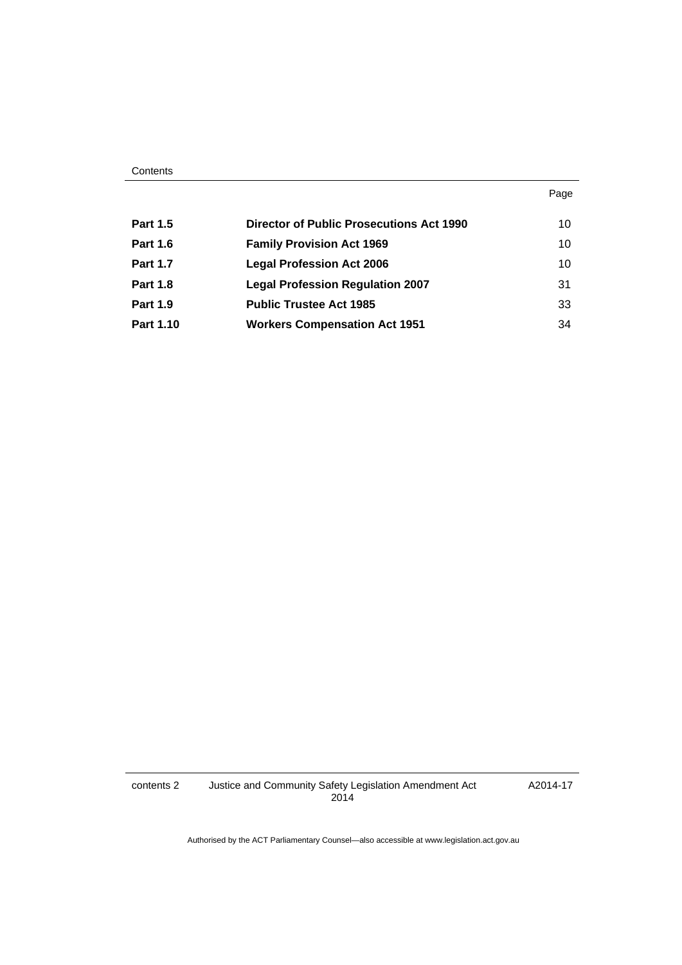#### **Contents**

#### Page

| <b>Part 1.5</b> | <b>Director of Public Prosecutions Act 1990</b> | 10 |
|-----------------|-------------------------------------------------|----|
| <b>Part 1.6</b> | <b>Family Provision Act 1969</b>                | 10 |
| <b>Part 1.7</b> | <b>Legal Profession Act 2006</b>                | 10 |
| <b>Part 1.8</b> | <b>Legal Profession Regulation 2007</b>         | 31 |
| <b>Part 1.9</b> | <b>Public Trustee Act 1985</b>                  | 33 |
| Part 1.10       | <b>Workers Compensation Act 1951</b>            | 34 |

A2014-17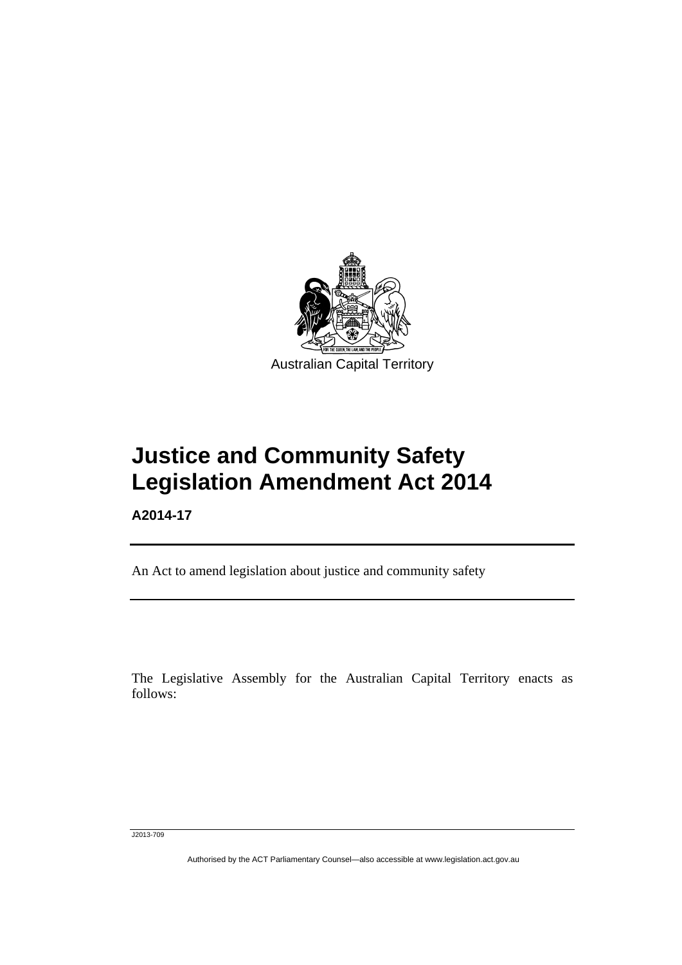

# **Justice and Community Safety Legislation Amendment Act 2014**

**A2014-17** 

Ī

An Act to amend legislation about justice and community safety

The Legislative Assembly for the Australian Capital Territory enacts as follows:

J2013-709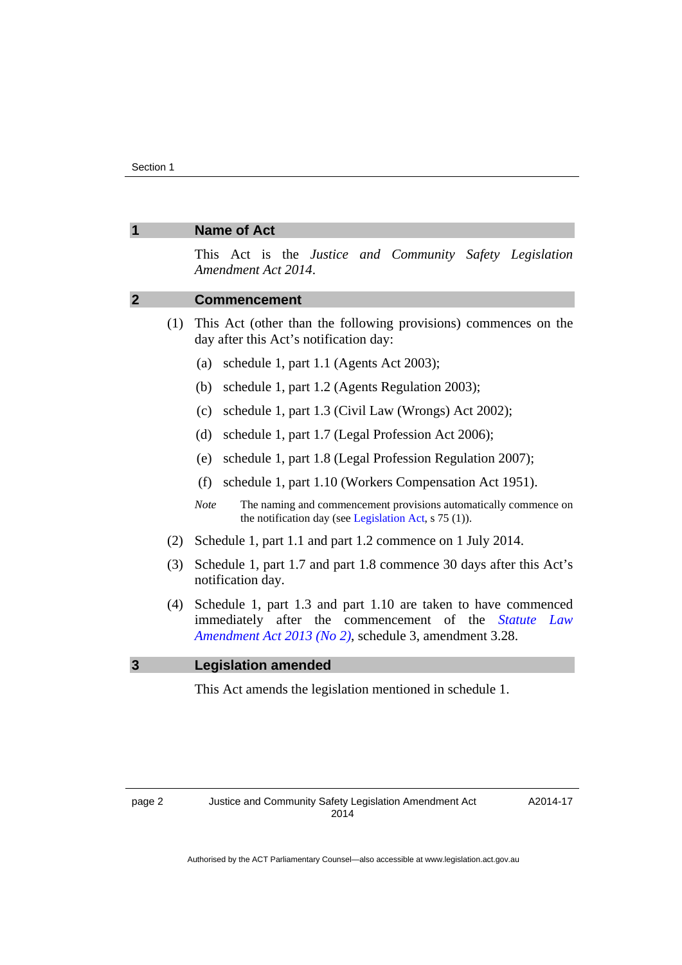<span id="page-3-2"></span><span id="page-3-1"></span><span id="page-3-0"></span>

|                |     | <b>Name of Act</b>                                                                                                                                                                             |
|----------------|-----|------------------------------------------------------------------------------------------------------------------------------------------------------------------------------------------------|
|                |     | This Act is the Justice and Community Safety Legislation<br>Amendment Act 2014.                                                                                                                |
| $\overline{2}$ |     | <b>Commencement</b>                                                                                                                                                                            |
|                | (1) | This Act (other than the following provisions) commences on the<br>day after this Act's notification day:                                                                                      |
|                |     | schedule 1, part 1.1 (Agents Act 2003);<br>(a)                                                                                                                                                 |
|                |     | (b)<br>schedule 1, part 1.2 (Agents Regulation 2003);                                                                                                                                          |
|                |     | schedule 1, part 1.3 (Civil Law (Wrongs) Act 2002);<br>(c)                                                                                                                                     |
|                |     | (d)<br>schedule 1, part 1.7 (Legal Profession Act 2006);                                                                                                                                       |
|                |     | schedule 1, part 1.8 (Legal Profession Regulation 2007);<br>(e)                                                                                                                                |
|                |     | schedule 1, part 1.10 (Workers Compensation Act 1951).<br>(f)                                                                                                                                  |
|                |     | <b>Note</b><br>The naming and commencement provisions automatically commence on<br>the notification day (see Legislation Act, s 75 (1)).                                                       |
|                | (2) | Schedule 1, part 1.1 and part 1.2 commence on 1 July 2014.                                                                                                                                     |
|                | (3) | Schedule 1, part 1.7 and part 1.8 commence 30 days after this Act's<br>notification day.                                                                                                       |
|                | (4) | Schedule 1, part 1.3 and part 1.10 are taken to have commenced<br>immediately after the commencement of the<br><i>Statute</i><br>Law<br>Amendment Act 2013 (No 2), schedule 3, amendment 3.28. |
| $\mathbf{3}$   |     | <b>Legislation amended</b>                                                                                                                                                                     |
|                |     | This Act amends the legislation mentioned in schedule 1.                                                                                                                                       |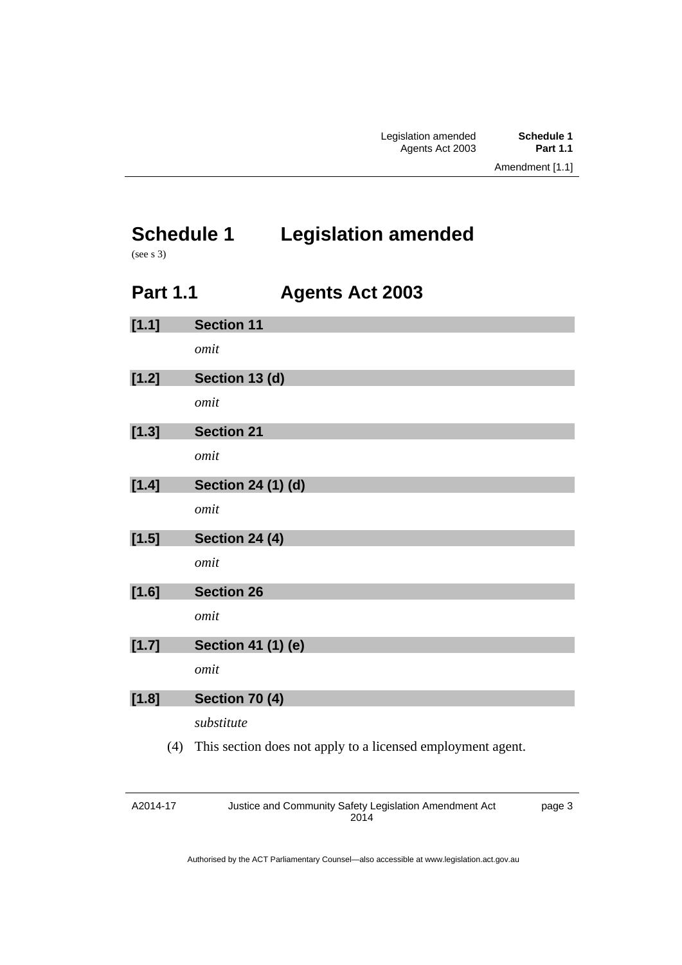# <span id="page-4-0"></span>**Schedule 1 Legislation amended**

(see s 3)

# **Part 1.1 Agents Act 2003**

<span id="page-4-1"></span>

| [1.1]   |     | <b>Section 11</b>                                           |
|---------|-----|-------------------------------------------------------------|
|         |     | omit                                                        |
|         |     |                                                             |
| [1.2]   |     | Section 13 (d)                                              |
|         |     | omit                                                        |
|         |     |                                                             |
| [1.3]   |     | <b>Section 21</b>                                           |
|         |     | omit                                                        |
|         |     |                                                             |
| [1.4]   |     | Section 24 (1) (d)                                          |
|         |     | omit                                                        |
|         |     |                                                             |
| [1.5]   |     | <b>Section 24 (4)</b>                                       |
|         |     | omit                                                        |
|         |     |                                                             |
| $[1.6]$ |     | <b>Section 26</b>                                           |
|         |     | omit                                                        |
|         |     |                                                             |
| [1.7]   |     | Section 41 (1) (e)                                          |
|         |     | omit                                                        |
|         |     |                                                             |
| [1.8]   |     | Section 70 (4)                                              |
|         |     | substitute                                                  |
|         |     |                                                             |
|         | (4) | This section does not apply to a licensed employment agent. |
|         |     |                                                             |

A2014-17 Justice and Community Safety Legislation Amendment Act 2014 page 3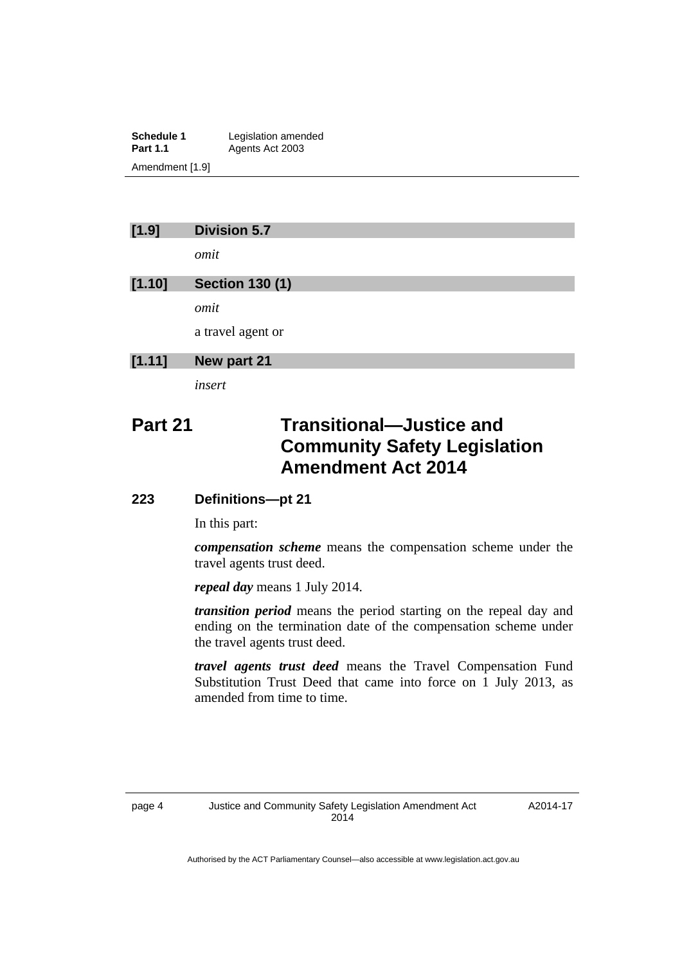**Schedule 1** Legislation amended<br> **Part 1.1** Agents Act 2003 Agents Act 2003 Amendment [1.9]

## **[1.9] Division 5.7**

*omit* 

## **[1.10] Section 130 (1)**

*omit* 

a travel agent or

## **[1.11] New part 21**

*insert* 

# **Part 21 Transitional—Justice and Community Safety Legislation Amendment Act 2014**

## **223 Definitions—pt 21**

In this part:

*compensation scheme* means the compensation scheme under the travel agents trust deed.

*repeal day* means 1 July 2014.

*transition period* means the period starting on the repeal day and ending on the termination date of the compensation scheme under the travel agents trust deed.

*travel agents trust deed* means the Travel Compensation Fund Substitution Trust Deed that came into force on 1 July 2013, as amended from time to time.

A2014-17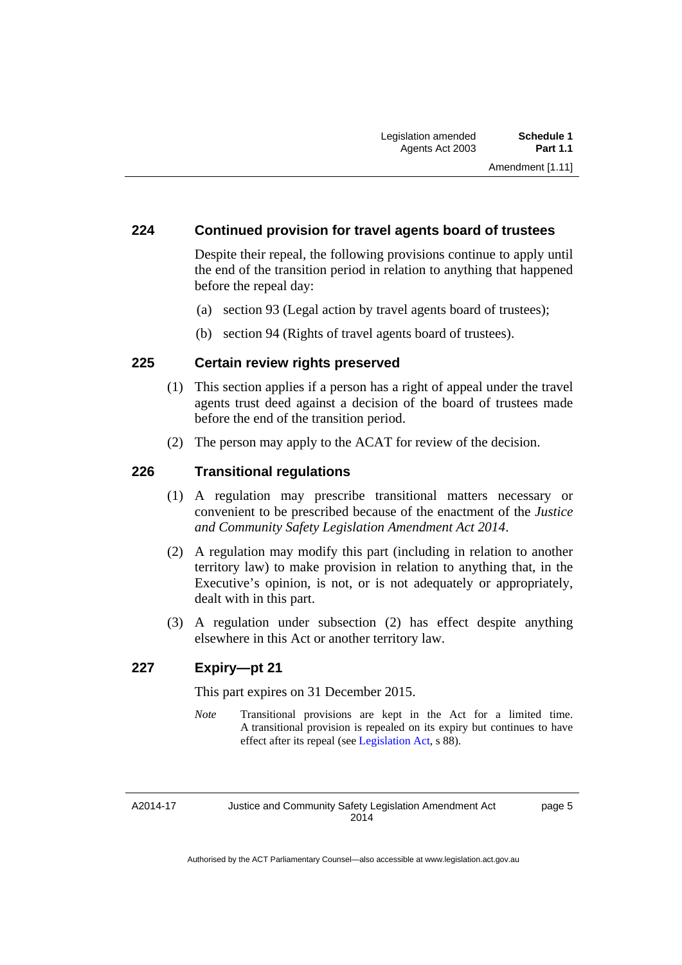## **224 Continued provision for travel agents board of trustees**

Despite their repeal, the following provisions continue to apply until the end of the transition period in relation to anything that happened before the repeal day:

- (a) section 93 (Legal action by travel agents board of trustees);
- (b) section 94 (Rights of travel agents board of trustees).

## **225 Certain review rights preserved**

- (1) This section applies if a person has a right of appeal under the travel agents trust deed against a decision of the board of trustees made before the end of the transition period.
- (2) The person may apply to the ACAT for review of the decision.

## **226 Transitional regulations**

- (1) A regulation may prescribe transitional matters necessary or convenient to be prescribed because of the enactment of the *Justice and Community Safety Legislation Amendment Act 2014*.
- (2) A regulation may modify this part (including in relation to another territory law) to make provision in relation to anything that, in the Executive's opinion, is not, or is not adequately or appropriately, dealt with in this part.
- (3) A regulation under subsection (2) has effect despite anything elsewhere in this Act or another territory law.

## **227 Expiry—pt 21**

This part expires on 31 December 2015.

*Note* Transitional provisions are kept in the Act for a limited time. A transitional provision is repealed on its expiry but continues to have effect after its repeal (see [Legislation Act,](http://www.legislation.act.gov.au/a/2001-14) s 88).

A2014-17

Justice and Community Safety Legislation Amendment Act 2014

page 5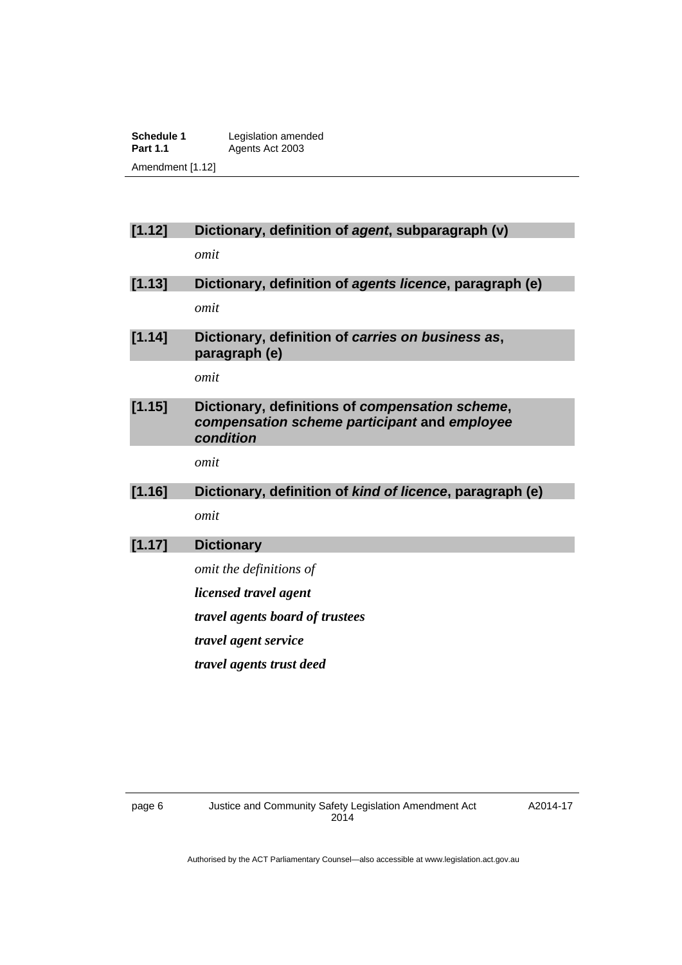**Schedule 1** Legislation amended<br> **Part 1.1** Agents Act 2003 Agents Act 2003 Amendment [1.12]

## **[1.12] Dictionary, definition of** *agent***, subparagraph (v)**

*omit* 

- **[1.13] Dictionary, definition of** *agents licence***, paragraph (e)**  *omit*
- **[1.14] Dictionary, definition of** *carries on business as***, paragraph (e)**

*omit* 

**[1.15] Dictionary, definitions of** *compensation scheme***,**  *compensation scheme participant* **and** *employee condition* 

*omit* 

## **[1.16] Dictionary, definition of** *kind of licence***, paragraph (e)**  *omit*

## **[1.17] Dictionary**

- *omit the definitions of*
- *licensed travel agent*
- *travel agents board of trustees*

*travel agent service*

*travel agents trust deed*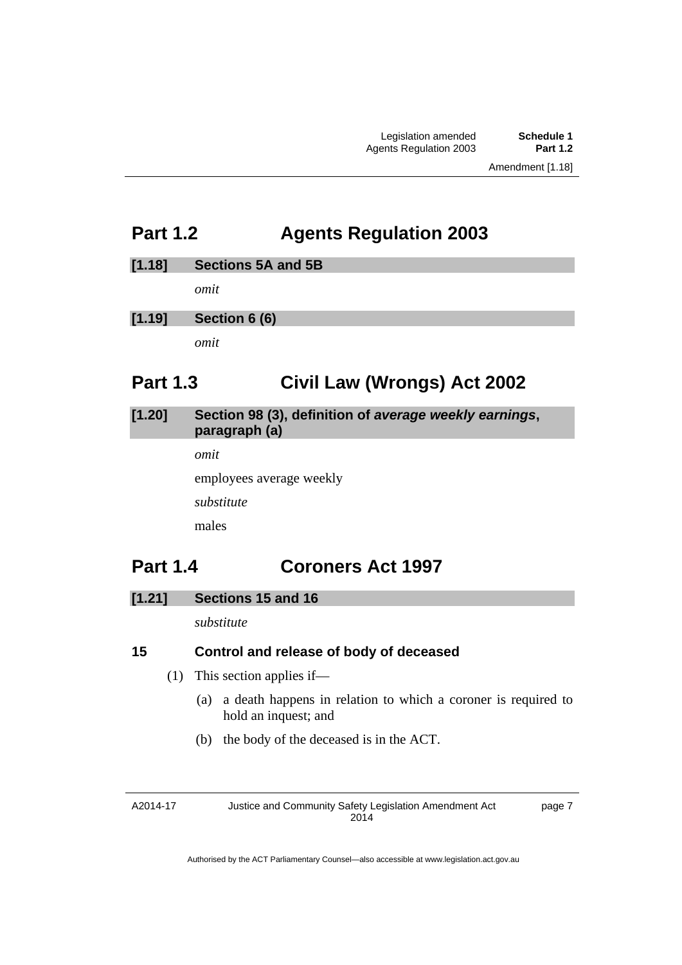# <span id="page-8-0"></span>**Part 1.2 Agents Regulation 2003**

## **[1.18] Sections 5A and 5B**

*omit* 

## **[1.19] Section 6 (6)**

*omit* 

# <span id="page-8-1"></span>**Part 1.3 Civil Law (Wrongs) Act 2002**

## **[1.20] Section 98 (3), definition of** *average weekly earnings***, paragraph (a)**

*omit* 

employees average weekly

*substitute* 

males

# <span id="page-8-2"></span>**Part 1.4 Coroners Act 1997**

## **[1.21] Sections 15 and 16**

*substitute* 

## **15 Control and release of body of deceased**

- (1) This section applies if—
	- (a) a death happens in relation to which a coroner is required to hold an inquest; and
	- (b) the body of the deceased is in the ACT.

A2014-17

Justice and Community Safety Legislation Amendment Act 2014

page 7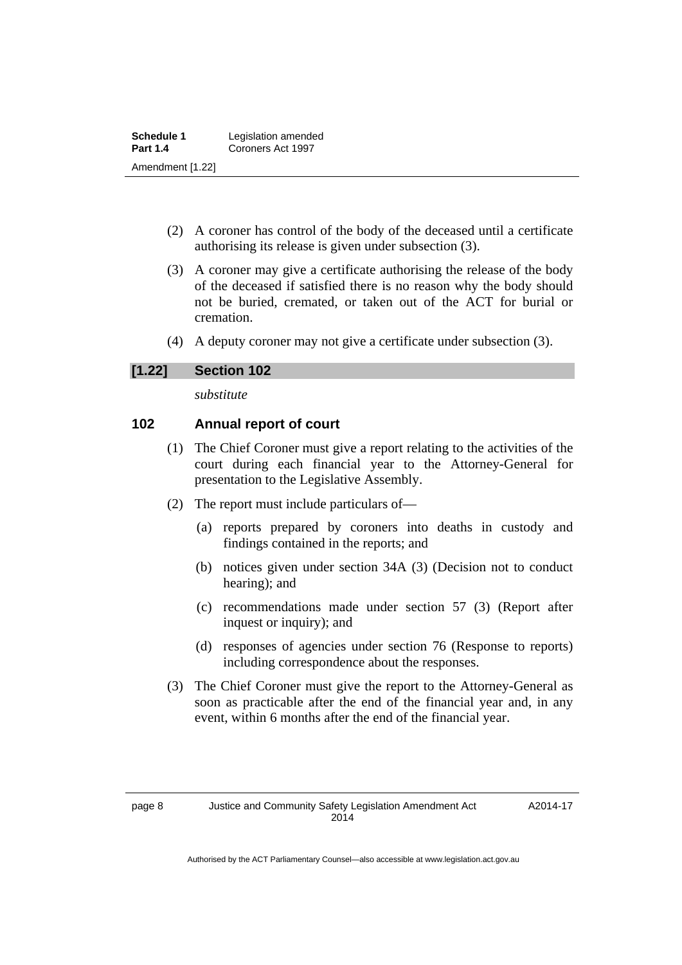| Schedule 1       | Legislation amended |
|------------------|---------------------|
| <b>Part 1.4</b>  | Coroners Act 1997   |
| Amendment [1.22] |                     |

- (2) A coroner has control of the body of the deceased until a certificate authorising its release is given under subsection (3).
- (3) A coroner may give a certificate authorising the release of the body of the deceased if satisfied there is no reason why the body should not be buried, cremated, or taken out of the ACT for burial or cremation.
- (4) A deputy coroner may not give a certificate under subsection (3).

## **[1.22] Section 102**

*substitute* 

## **102 Annual report of court**

- (1) The Chief Coroner must give a report relating to the activities of the court during each financial year to the Attorney-General for presentation to the Legislative Assembly.
- (2) The report must include particulars of—
	- (a) reports prepared by coroners into deaths in custody and findings contained in the reports; and
	- (b) notices given under section 34A (3) (Decision not to conduct hearing); and
	- (c) recommendations made under section 57 (3) (Report after inquest or inquiry); and
	- (d) responses of agencies under section 76 (Response to reports) including correspondence about the responses.
- (3) The Chief Coroner must give the report to the Attorney-General as soon as practicable after the end of the financial year and, in any event, within 6 months after the end of the financial year.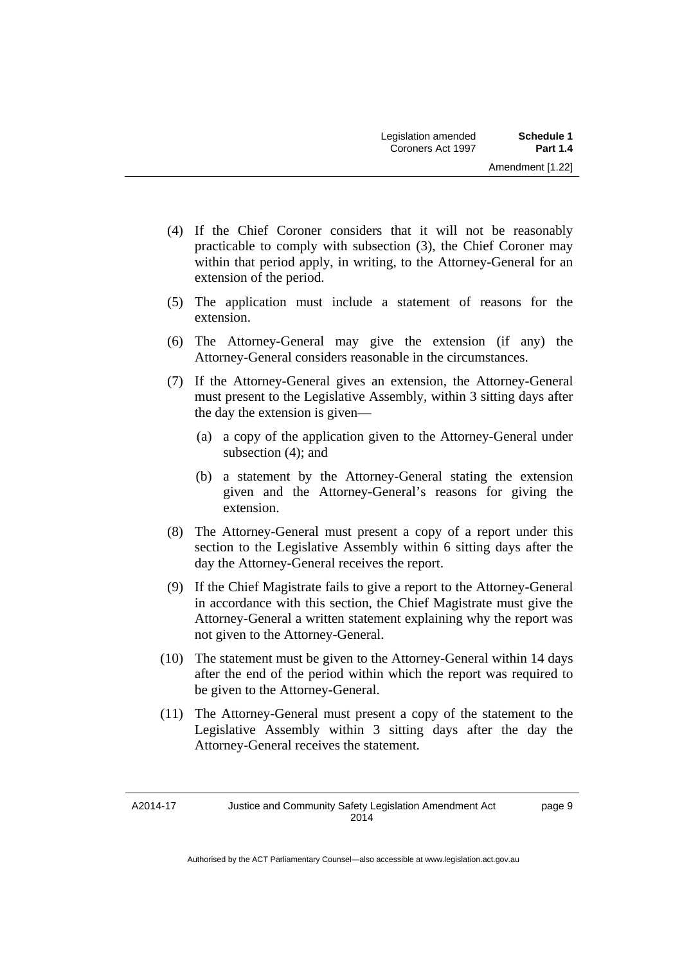- (4) If the Chief Coroner considers that it will not be reasonably practicable to comply with subsection (3), the Chief Coroner may within that period apply, in writing, to the Attorney-General for an extension of the period.
- (5) The application must include a statement of reasons for the extension.
- (6) The Attorney-General may give the extension (if any) the Attorney-General considers reasonable in the circumstances.
- (7) If the Attorney-General gives an extension, the Attorney-General must present to the Legislative Assembly, within 3 sitting days after the day the extension is given—
	- (a) a copy of the application given to the Attorney-General under subsection (4); and
	- (b) a statement by the Attorney-General stating the extension given and the Attorney-General's reasons for giving the extension.
- (8) The Attorney-General must present a copy of a report under this section to the Legislative Assembly within 6 sitting days after the day the Attorney-General receives the report.
- (9) If the Chief Magistrate fails to give a report to the Attorney-General in accordance with this section, the Chief Magistrate must give the Attorney-General a written statement explaining why the report was not given to the Attorney-General.
- (10) The statement must be given to the Attorney-General within 14 days after the end of the period within which the report was required to be given to the Attorney-General.
- (11) The Attorney-General must present a copy of the statement to the Legislative Assembly within 3 sitting days after the day the Attorney-General receives the statement.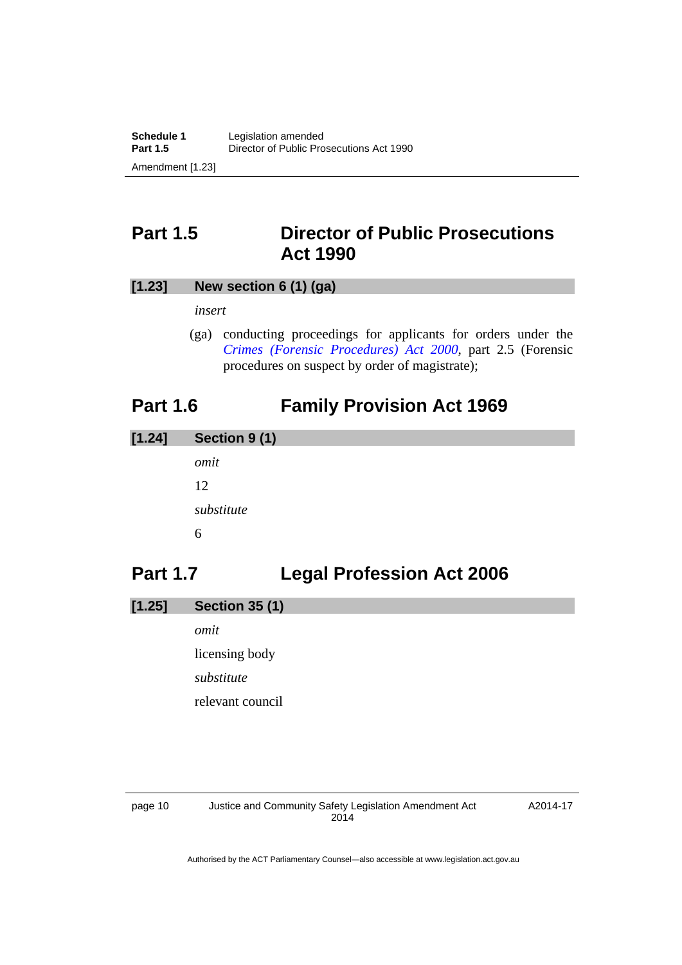# <span id="page-11-0"></span>**Part 1.5 Director of Public Prosecutions Act 1990**

## **[1.23] New section 6 (1) (ga)**

*insert* 

 (ga) conducting proceedings for applicants for orders under the *[Crimes \(Forensic Procedures\) Act 2000](http://www.legislation.act.gov.au/a/2000-61)*, part 2.5 (Forensic procedures on suspect by order of magistrate);

# <span id="page-11-1"></span>**Part 1.6 Family Provision Act 1969**

| $[1.24]$ | Section 9 (1) |
|----------|---------------|
|          | omit          |
|          | 12            |
|          | substitute    |
|          | 6             |
|          |               |

# <span id="page-11-2"></span>**Part 1.7 Legal Profession Act 2006**

| $[1.25]$<br><b>Section 35 (1)</b> |  |  |
|-----------------------------------|--|--|
|-----------------------------------|--|--|

*omit*  licensing body *substitute*  relevant council

page 10 Justice and Community Safety Legislation Amendment Act 2014

A2014-17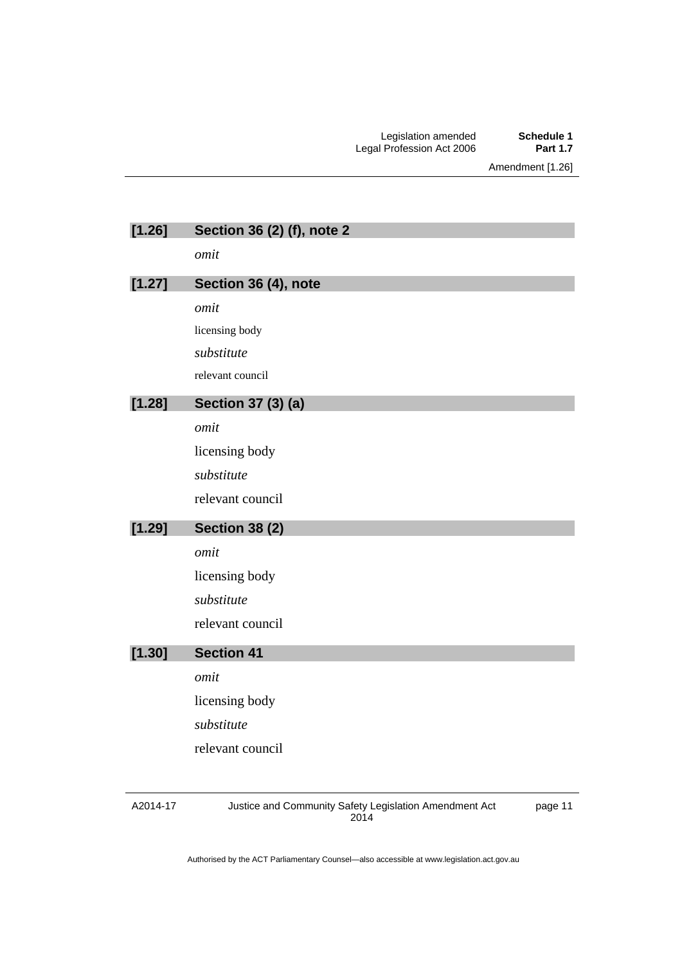| [1.26] | Section 36 (2) (f), note 2 |
|--------|----------------------------|
|        | omit                       |
| [1.27] | Section 36 (4), note       |
|        | omit                       |
|        | licensing body             |
|        | substitute                 |
|        | relevant council           |
| [1.28] | Section 37 (3) (a)         |
|        | omit                       |
|        | licensing body             |
|        | substitute                 |
|        | relevant council           |
|        |                            |
| [1.29] | <b>Section 38 (2)</b>      |
|        | omit                       |
|        | licensing body             |
|        | substitute                 |
|        | relevant council           |
| [1.30] | <b>Section 41</b>          |
|        | omit                       |
|        | licensing body             |
|        | substitute                 |
|        |                            |
|        | relevant council           |
|        |                            |

A2014-17

Justice and Community Safety Legislation Amendment Act 2014

page 11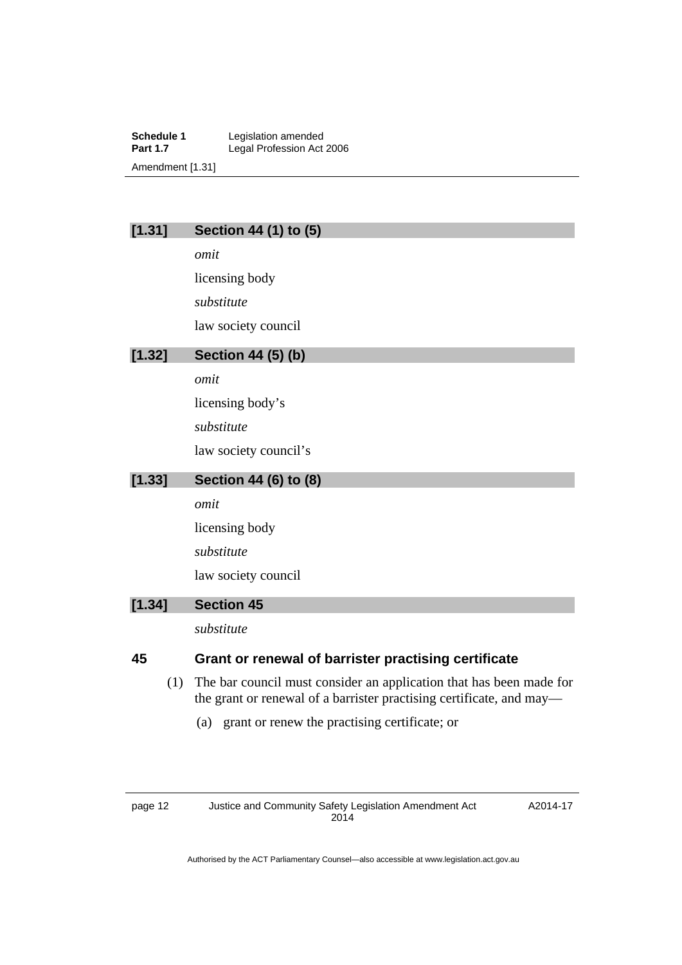**Schedule 1** Legislation amended<br> **Part 1.7** Legal Profession Act Legal Profession Act 2006 Amendment [1.31]

## **[1.31] Section 44 (1) to (5)**

*omit*  licensing body *substitute*  law society council

## **[1.32] Section 44 (5) (b)**

*omit* 

licensing body's

*substitute* 

law society council's

## **[1.33] Section 44 (6) to (8)**

*omit* 

licensing body

*substitute* 

law society council

## **[1.34] Section 45**

*substitute* 

## **45 Grant or renewal of barrister practising certificate**

- (1) The bar council must consider an application that has been made for the grant or renewal of a barrister practising certificate, and may—
	- (a) grant or renew the practising certificate; or

page 12 Justice and Community Safety Legislation Amendment Act 2014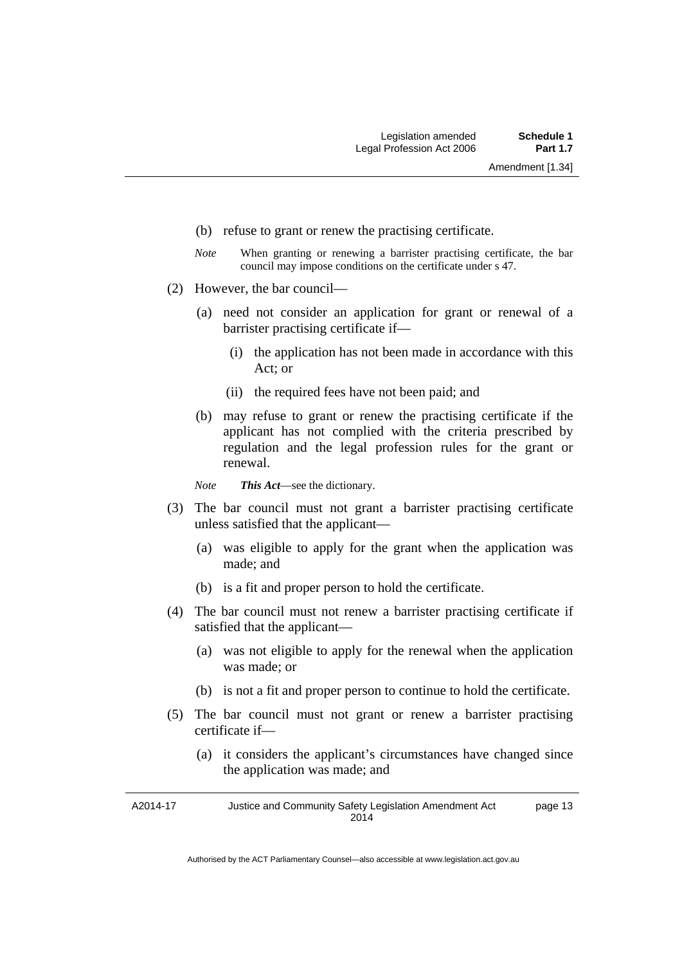- (b) refuse to grant or renew the practising certificate.
- *Note* When granting or renewing a barrister practising certificate, the bar council may impose conditions on the certificate under s 47.
- (2) However, the bar council—
	- (a) need not consider an application for grant or renewal of a barrister practising certificate if—
		- (i) the application has not been made in accordance with this Act; or
		- (ii) the required fees have not been paid; and
	- (b) may refuse to grant or renew the practising certificate if the applicant has not complied with the criteria prescribed by regulation and the legal profession rules for the grant or renewal.

*Note This Act*—see the dictionary.

- (3) The bar council must not grant a barrister practising certificate unless satisfied that the applicant—
	- (a) was eligible to apply for the grant when the application was made; and
	- (b) is a fit and proper person to hold the certificate.
- (4) The bar council must not renew a barrister practising certificate if satisfied that the applicant—
	- (a) was not eligible to apply for the renewal when the application was made; or
	- (b) is not a fit and proper person to continue to hold the certificate.
- (5) The bar council must not grant or renew a barrister practising certificate if—
	- (a) it considers the applicant's circumstances have changed since the application was made; and

A2014-17 Justice and Community Safety Legislation Amendment Act 2014 page 13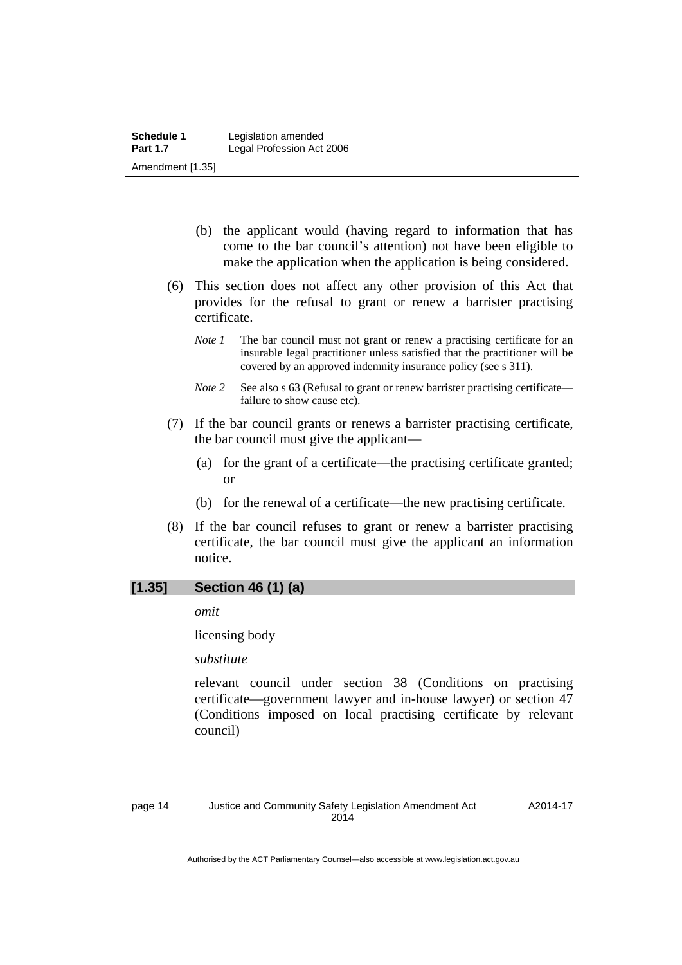- (b) the applicant would (having regard to information that has come to the bar council's attention) not have been eligible to make the application when the application is being considered.
- (6) This section does not affect any other provision of this Act that provides for the refusal to grant or renew a barrister practising certificate.
	- *Note 1* The bar council must not grant or renew a practising certificate for an insurable legal practitioner unless satisfied that the practitioner will be covered by an approved indemnity insurance policy (see s 311).
	- *Note 2* See also s 63 (Refusal to grant or renew barrister practising certificate failure to show cause etc).
- (7) If the bar council grants or renews a barrister practising certificate, the bar council must give the applicant—
	- (a) for the grant of a certificate—the practising certificate granted; or
	- (b) for the renewal of a certificate—the new practising certificate.
- (8) If the bar council refuses to grant or renew a barrister practising certificate, the bar council must give the applicant an information notice.

## **[1.35] Section 46 (1) (a)**

*omit* 

licensing body

*substitute* 

relevant council under section 38 (Conditions on practising certificate—government lawyer and in-house lawyer) or section 47 (Conditions imposed on local practising certificate by relevant council)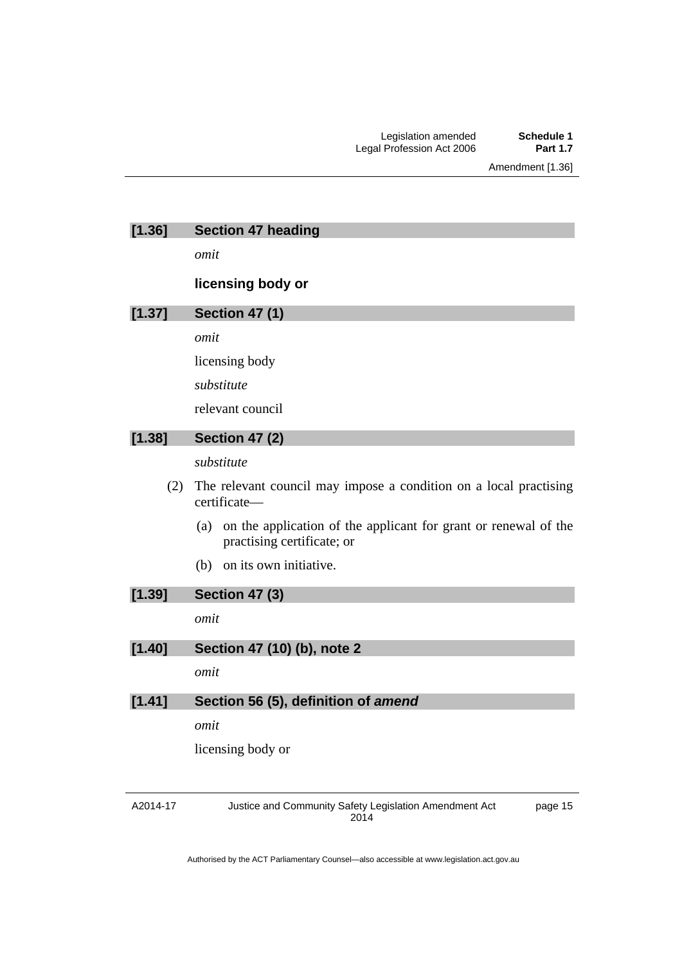Amendment [1.36]

| [1.36] | <b>Section 47 heading</b>                                                                            |
|--------|------------------------------------------------------------------------------------------------------|
|        | omit                                                                                                 |
|        | licensing body or                                                                                    |
| [1.37] | <b>Section 47 (1)</b>                                                                                |
|        | omit                                                                                                 |
|        | licensing body                                                                                       |
|        | substitute                                                                                           |
|        | relevant council                                                                                     |
| [1.38] | <b>Section 47 (2)</b>                                                                                |
|        | substitute                                                                                           |
| (2)    | The relevant council may impose a condition on a local practising<br>certificate-                    |
|        | on the application of the applicant for grant or renewal of the<br>(a)<br>practising certificate; or |
|        | on its own initiative.<br>(b)                                                                        |
| [1.39] | <b>Section 47 (3)</b>                                                                                |
|        | omit                                                                                                 |
| [1.40] | Section 47 (10) (b), note 2                                                                          |
|        | omit                                                                                                 |
| [1.41] | Section 56 (5), definition of amend                                                                  |
|        | omit                                                                                                 |
|        | licensing body or                                                                                    |
|        |                                                                                                      |

A2014-17

Justice and Community Safety Legislation Amendment Act 2014

page 15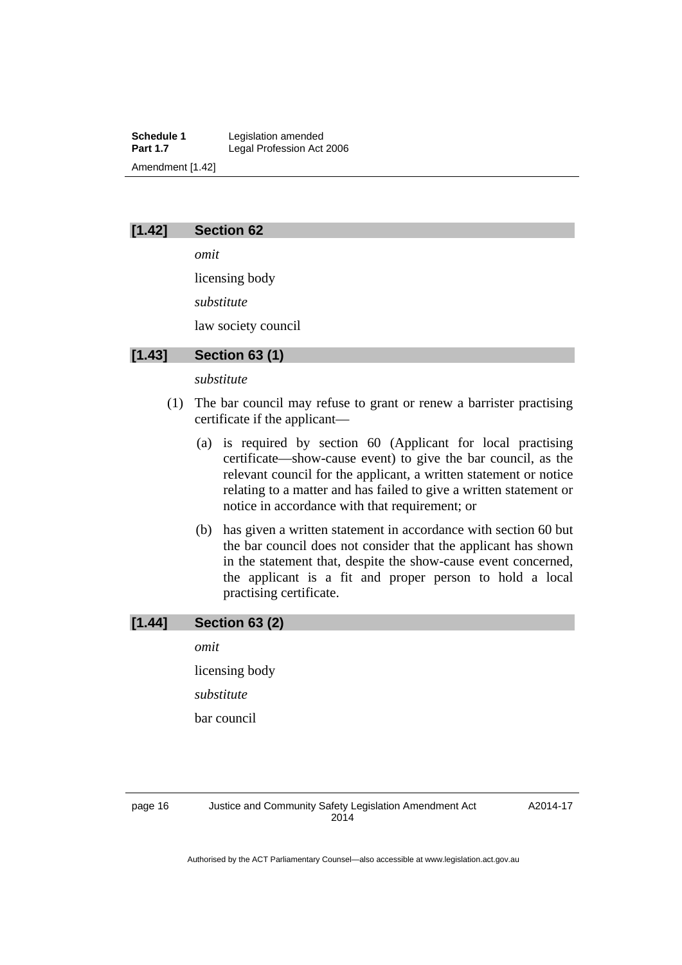**Schedule 1** Legislation amended<br> **Part 1.7** Legal Profession Act Legal Profession Act 2006 Amendment [1.42]

#### **[1.42] Section 62**

*omit* 

licensing body *substitute* 

law society council

## **[1.43] Section 63 (1)**

#### *substitute*

- (1) The bar council may refuse to grant or renew a barrister practising certificate if the applicant—
	- (a) is required by section 60 (Applicant for local practising certificate—show-cause event) to give the bar council, as the relevant council for the applicant, a written statement or notice relating to a matter and has failed to give a written statement or notice in accordance with that requirement; or
	- (b) has given a written statement in accordance with section 60 but the bar council does not consider that the applicant has shown in the statement that, despite the show-cause event concerned, the applicant is a fit and proper person to hold a local practising certificate.

## **[1.44] Section 63 (2)**

*omit* 

licensing body

*substitute* 

bar council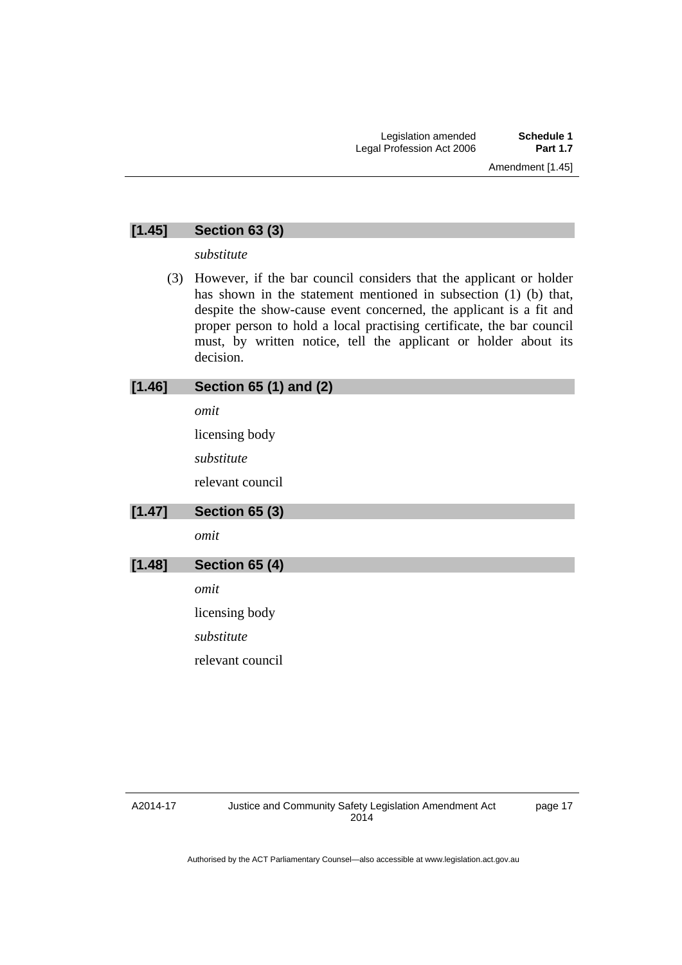## **[1.45] Section 63 (3)**

*substitute* 

 (3) However, if the bar council considers that the applicant or holder has shown in the statement mentioned in subsection (1) (b) that, despite the show-cause event concerned, the applicant is a fit and proper person to hold a local practising certificate, the bar council must, by written notice, tell the applicant or holder about its decision.

| [1.46] | <b>Section 65 (1) and (2)</b> |
|--------|-------------------------------|
|        | omit                          |
|        | licensing body                |
|        | substitute                    |
|        | relevant council              |
| [1.47] | <b>Section 65 (3)</b>         |
|        | omit                          |
| [1.48] | <b>Section 65 (4)</b>         |
|        | omit                          |
|        | licensing body                |
|        | substitute                    |
|        | relevant council              |
|        |                               |

#### A2014-17

page 17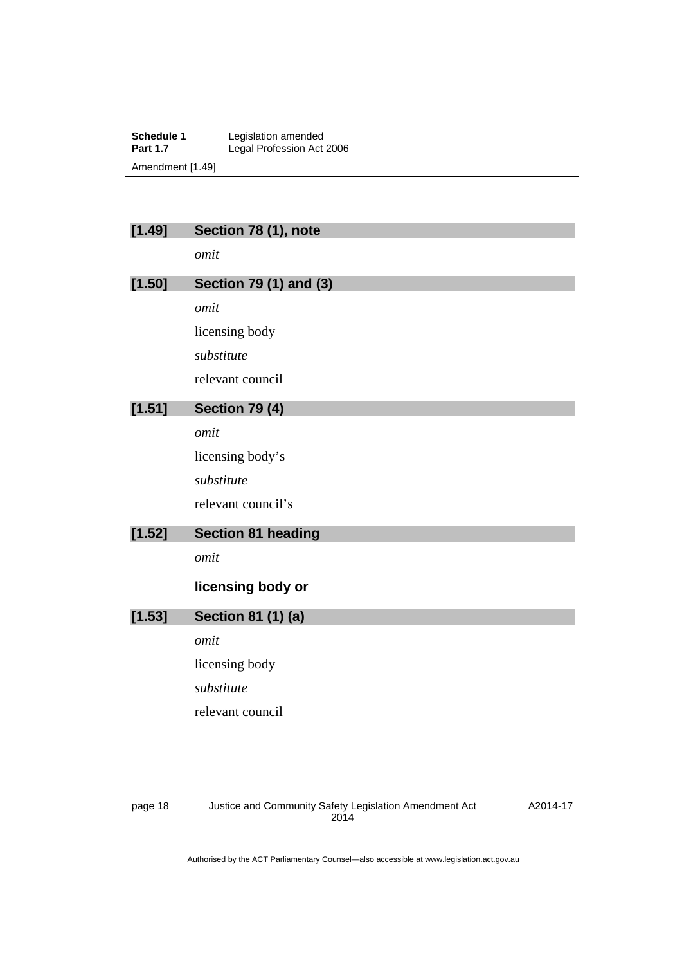**Schedule 1** Legislation amended **Part 1.7 Legal Profession Act 2006** Amendment [1.49]

| [1.49] | Section 78 (1), note      |
|--------|---------------------------|
|        | omit                      |
| [1.50] | Section 79 (1) and (3)    |
|        | omit                      |
|        | licensing body            |
|        | substitute                |
|        | relevant council          |
| [1.51] | <b>Section 79 (4)</b>     |
|        | omit                      |
|        | licensing body's          |
|        | substitute                |
|        | relevant council's        |
| [1.52] | <b>Section 81 heading</b> |
|        | omit                      |
|        | licensing body or         |
|        |                           |
| [1.53] | Section 81 (1) (a)        |
|        | omit                      |
|        | licensing body            |
|        | substitute                |
|        | relevant council          |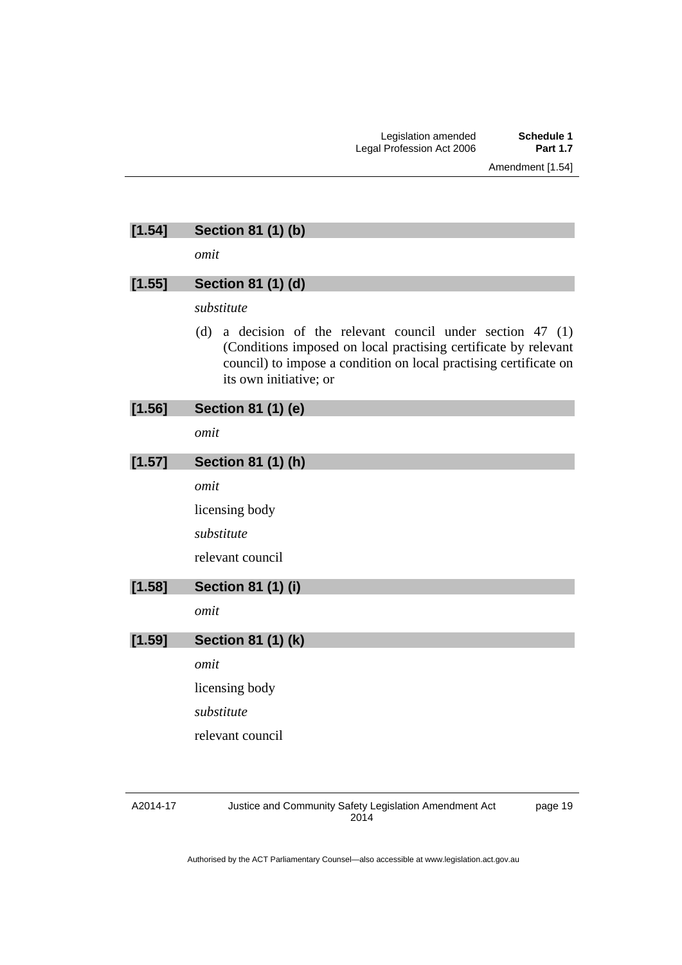# **[1.54] Section 81 (1) (b)**

*omit* 

## **[1.55] Section 81 (1) (d)**

*substitute* 

 (d) a decision of the relevant council under section 47 (1) (Conditions imposed on local practising certificate by relevant council) to impose a condition on local practising certificate on its own initiative; or

| [1.56] | Section 81 (1) (e)        |
|--------|---------------------------|
|        | omit                      |
| [1.57] | Section 81 (1) (h)        |
|        | omit                      |
|        | licensing body            |
|        | substitute                |
|        | relevant council          |
| [1.58] | <b>Section 81 (1) (i)</b> |
|        | omit                      |
| [1.59] | <b>Section 81 (1) (k)</b> |
|        | omit                      |
|        | licensing body            |
|        | substitute                |
|        | relevant council          |
|        |                           |
|        |                           |

#### A2014-17

Justice and Community Safety Legislation Amendment Act 2014

page 19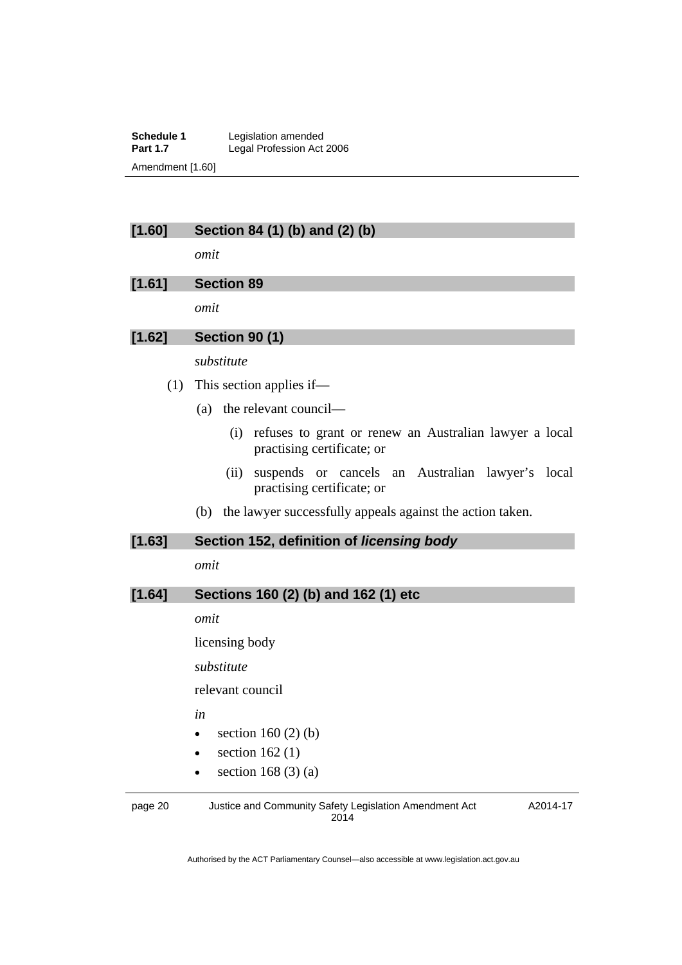**Schedule 1** Legislation amended<br> **Part 1.7** Legal Profession Act Legal Profession Act 2006 Amendment [1.60]

## **[1.60] Section 84 (1) (b) and (2) (b)**

*omit* 

## **[1.61] Section 89**

*omit* 

## **[1.62] Section 90 (1)**

*substitute* 

- (1) This section applies if—
	- (a) the relevant council—
		- (i) refuses to grant or renew an Australian lawyer a local practising certificate; or
		- (ii) suspends or cancels an Australian lawyer's local practising certificate; or
	- (b) the lawyer successfully appeals against the action taken.

#### **[1.63] Section 152, definition of** *licensing body*

*omit* 

### **[1.64] Sections 160 (2) (b) and 162 (1) etc**

*omit* 

licensing body

*substitute* 

relevant council

*in* 

- $\bullet$  section 160 (2) (b)
- $\bullet$  section 162(1)
- $\bullet$  section 168 (3) (a)

page 20 Justice and Community Safety Legislation Amendment Act 2014

A2014-17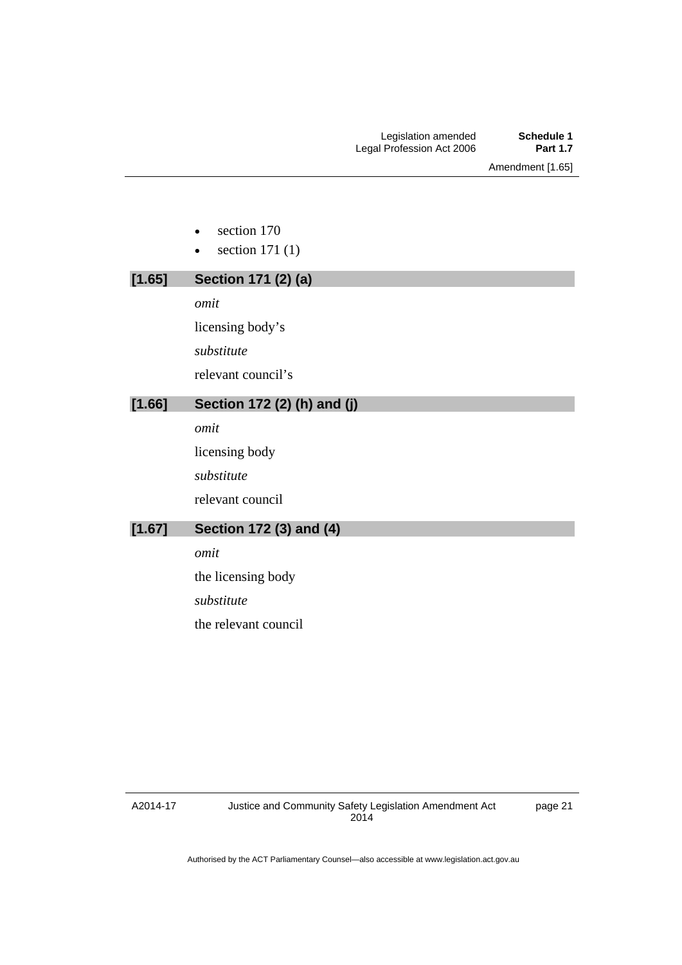- section 170
- $\bullet$  section 171 (1)

# **[1.65] Section 171 (2) (a)**  *omit*

licensing body's *substitute*  relevant council's

## **[1.66] Section 172 (2) (h) and (j)**

*omit* 

licensing body

*substitute* 

relevant council

## **[1.67] Section 172 (3) and (4)**

*omit* 

the licensing body

*substitute* 

the relevant council

A2014-17

page 21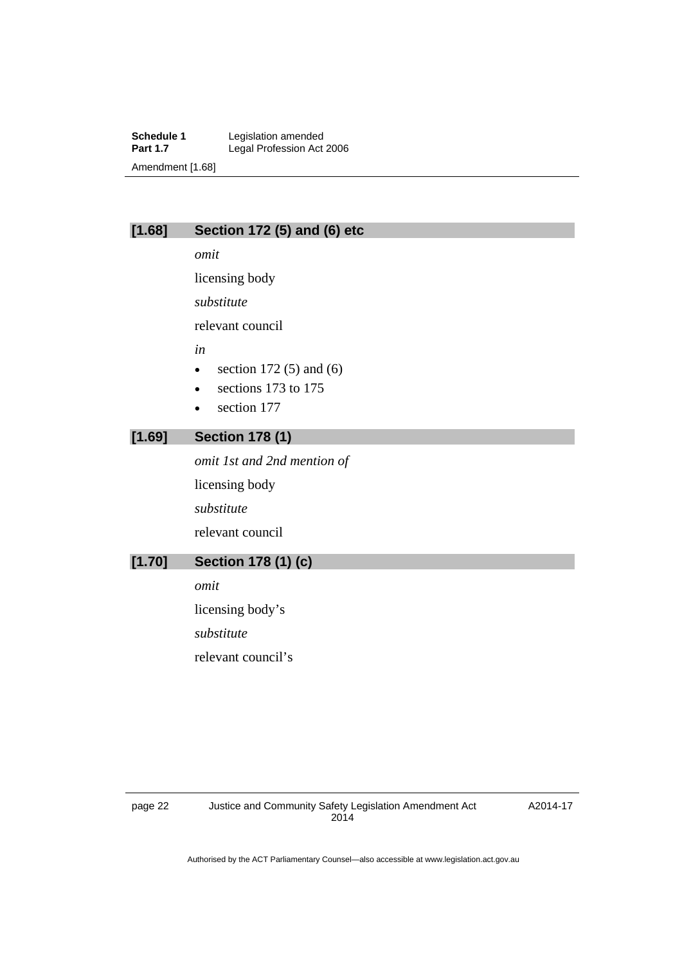**Schedule 1** Legislation amended<br> **Part 1.7** Legal Profession Act Legal Profession Act 2006 Amendment [1.68]

## **[1.68] Section 172 (5) and (6) etc**

*omit* 

licensing body

*substitute* 

relevant council

*in* 

- $\bullet$  section 172 (5) and (6)
- sections 173 to 175
- section 177

## **[1.69] Section 178 (1)**

*omit 1st and 2nd mention of*  licensing body *substitute*  relevant council

## **[1.70] Section 178 (1) (c)**

*omit* 

licensing body's *substitute*  relevant council's

A2014-17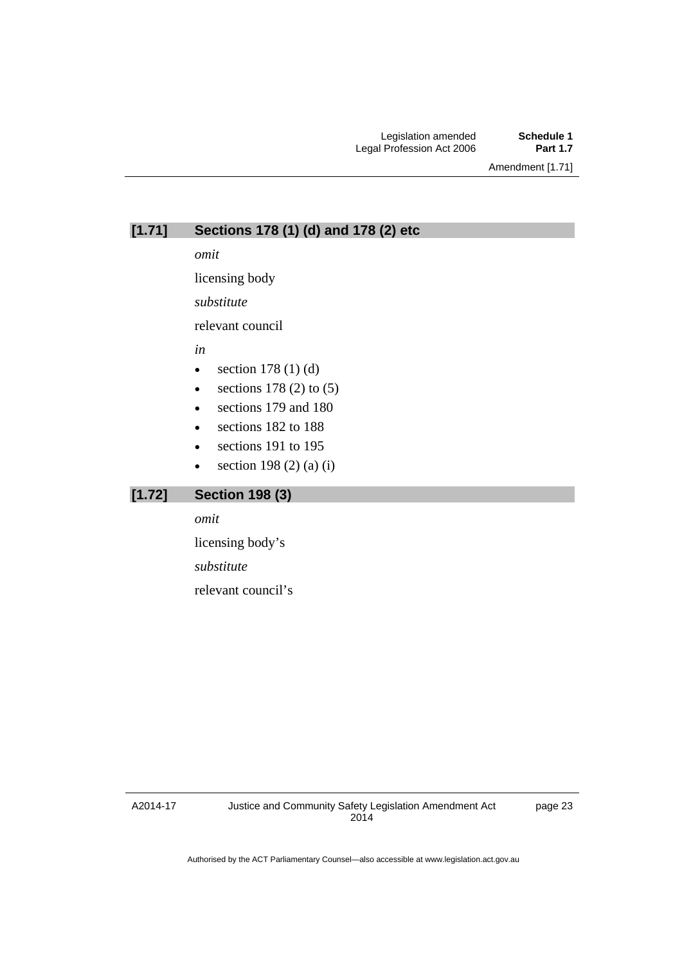Amendment [1.71]

## **[1.71] Sections 178 (1) (d) and 178 (2) etc**

*omit* 

licensing body

*substitute* 

relevant council

*in* 

- $\bullet$  section 178 (1) (d)
- e sections  $178(2)$  to  $(5)$
- sections 179 and 180
- sections 182 to 188
- sections 191 to 195
- section 198 (2) (a) (i)

## **[1.72] Section 198 (3)**

*omit* 

licensing body's

*substitute* 

relevant council's

A2014-17

page 23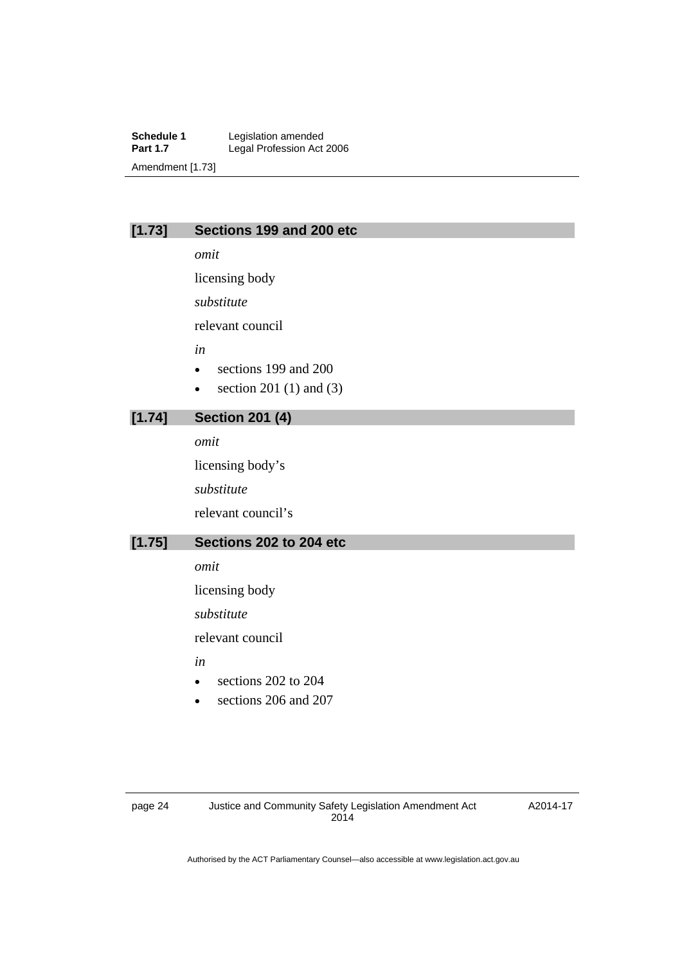**Schedule 1** Legislation amended<br> **Part 1.7** Legal Profession Act Legal Profession Act 2006 Amendment [1.73]

## **[1.73] Sections 199 and 200 etc**

*omit* 

licensing body

*substitute* 

relevant council

*in* 

- sections 199 and 200
- $\bullet$  section 201 (1) and (3)

## **[1.74] Section 201 (4)**

*omit* 

licensing body's *substitute*  relevant council's

## **[1.75] Sections 202 to 204 etc**

*omit* 

licensing body

*substitute* 

relevant council

*in* 

- sections 202 to 204
- sections 206 and 207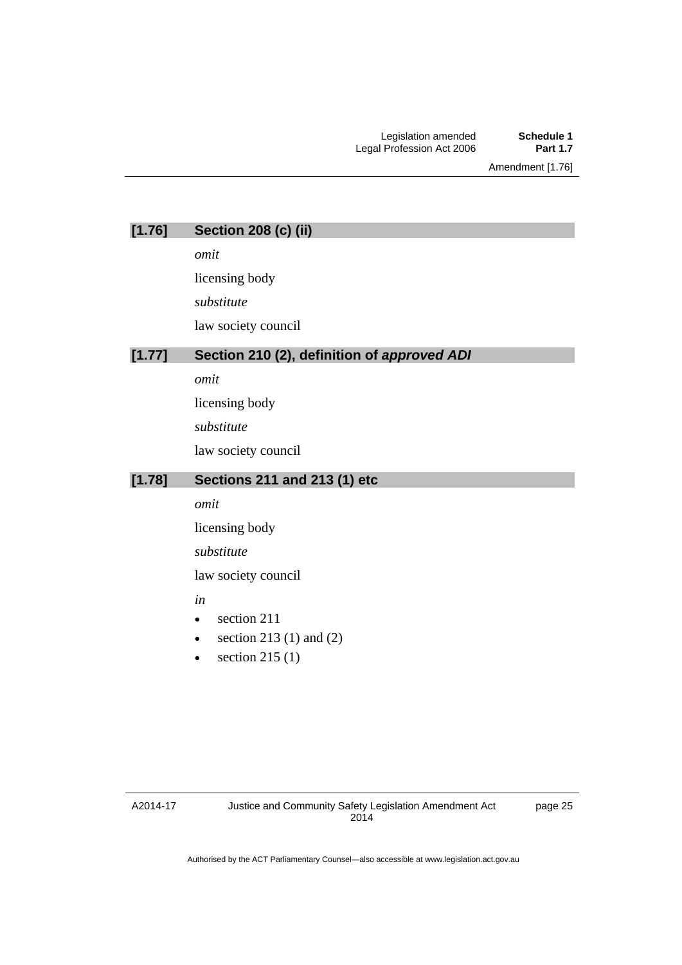Amendment [1.76]

| [1.76] | <b>Section 208 (c) (ii)</b> |  |  |  |
|--------|-----------------------------|--|--|--|
|--------|-----------------------------|--|--|--|

*omit* 

licensing body

*substitute* 

law society council

### **[1.77] Section 210 (2), definition of** *approved ADI*

*omit* 

licensing body

*substitute* 

law society council

## **[1.78] Sections 211 and 213 (1) etc**

*omit* 

licensing body

*substitute* 

law society council

#### *in*

- section 211
- $\bullet$  section 213 (1) and (2)
- $\bullet$  section 215 (1)

A2014-17

page 25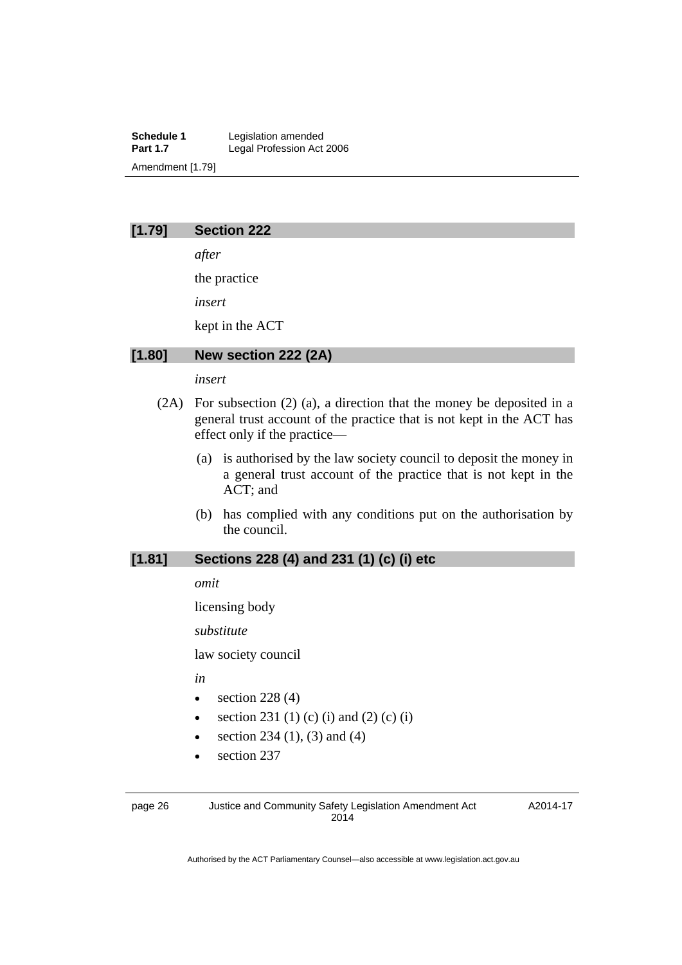**Schedule 1** Legislation amended<br> **Part 1.7** Legal Profession Act Legal Profession Act 2006 Amendment [1.79]

## **[1.79] Section 222**

*after* 

the practice

*insert* 

kept in the ACT

#### **[1.80] New section 222 (2A)**

#### *insert*

- (2A) For subsection (2) (a), a direction that the money be deposited in a general trust account of the practice that is not kept in the ACT has effect only if the practice—
	- (a) is authorised by the law society council to deposit the money in a general trust account of the practice that is not kept in the ACT; and
	- (b) has complied with any conditions put on the authorisation by the council.

## **[1.81] Sections 228 (4) and 231 (1) (c) (i) etc**

*omit* 

licensing body

*substitute* 

law society council

*in* 

- $\bullet$  section 228 (4)
- section 231 (1) (c) (i) and (2) (c) (i)
- section 234 (1), (3) and (4)
- section 237

page 26 Justice and Community Safety Legislation Amendment Act 2014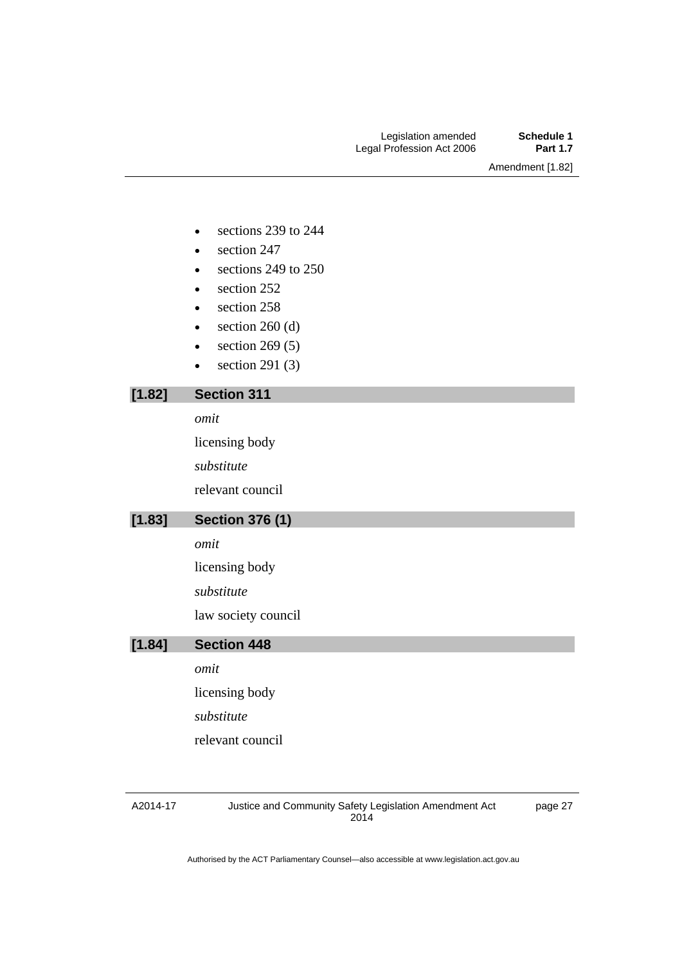Amendment [1.82]

- e sections 239 to 244
- section 247
- e sections 249 to 250
- section 252
- section 258
- $\bullet$  section 260 (d)
- $\bullet$  section 269 (5)
- $\bullet$  section 291 (3)

## **[1.82] Section 311**

*omit* 

licensing body

*substitute* 

relevant council

## **[1.83] Section 376 (1)**

*omit* 

licensing body

*substitute* 

law society council

## **[1.84] Section 448**

*omit* 

licensing body

*substitute* 

relevant council

#### A2014-17

Justice and Community Safety Legislation Amendment Act 2014

page 27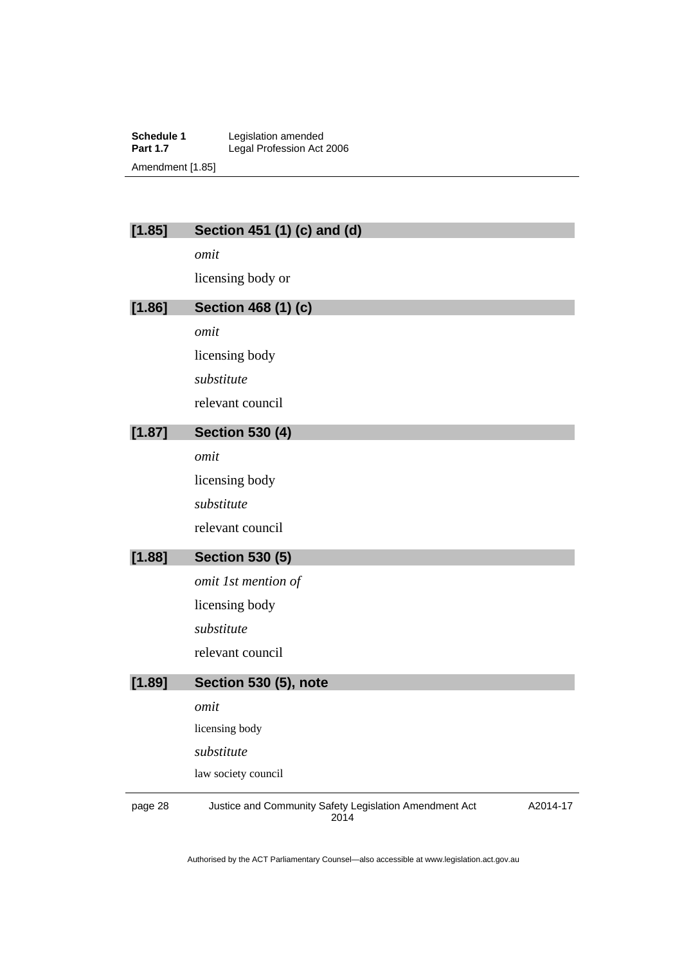**Schedule 1** Legislation amended **Part 1.7 Legal Profession Act 2006** Amendment [1.85]

| [1.85] | Section 451 (1) (c) and (d) |
|--------|-----------------------------|
|        | omit                        |
|        | licensing body or           |
| [1.86] | <b>Section 468 (1) (c)</b>  |
|        | omit                        |
|        | licensing body              |
|        | substitute                  |
|        | relevant council            |
| [1.87] | <b>Section 530 (4)</b>      |
|        | omit                        |
|        | licensing body              |
|        | substitute                  |
|        | relevant council            |
| [1.88] | <b>Section 530 (5)</b>      |
|        | omit 1st mention of         |
|        | licensing body              |
|        | substitute                  |
|        | relevant council            |
| [1.89] | Section 530 (5), note       |
|        | omit                        |
|        | licensing body              |
|        | substitute                  |
|        | law society council         |

page 28 Justice and Community Safety Legislation Amendment Act 2014

A2014-17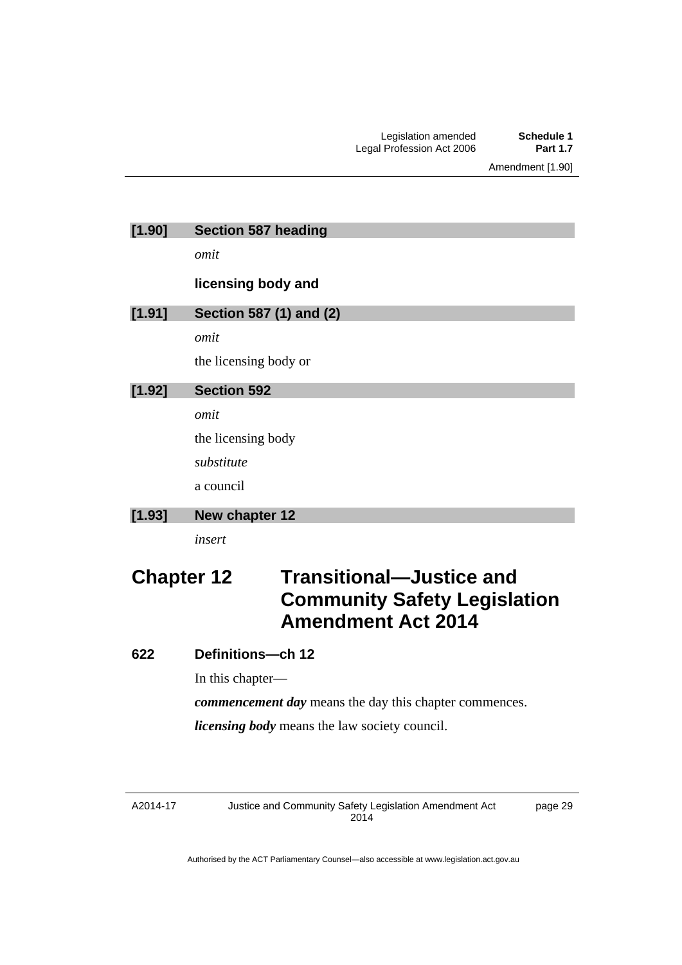Amendment [1.90]

| [1.90]            | <b>Section 587 heading</b>                                                                          |
|-------------------|-----------------------------------------------------------------------------------------------------|
|                   | omit                                                                                                |
|                   | licensing body and                                                                                  |
| [1.91]            | Section 587 (1) and (2)                                                                             |
|                   | omit                                                                                                |
|                   | the licensing body or                                                                               |
| [1.92]            | <b>Section 592</b>                                                                                  |
|                   | omit                                                                                                |
|                   | the licensing body                                                                                  |
|                   | substitute                                                                                          |
|                   | a council                                                                                           |
| [1.93]            | New chapter 12                                                                                      |
|                   | insert                                                                                              |
| <b>Chapter 12</b> | <b>Transitional-Justice and</b><br><b>Community Safety Legislation</b><br><b>Amendment Act 2014</b> |

## **622 Definitions—ch 12**

In this chapter—

*commencement day* means the day this chapter commences.

*licensing body* means the law society council.

A2014-17

Justice and Community Safety Legislation Amendment Act 2014

page 29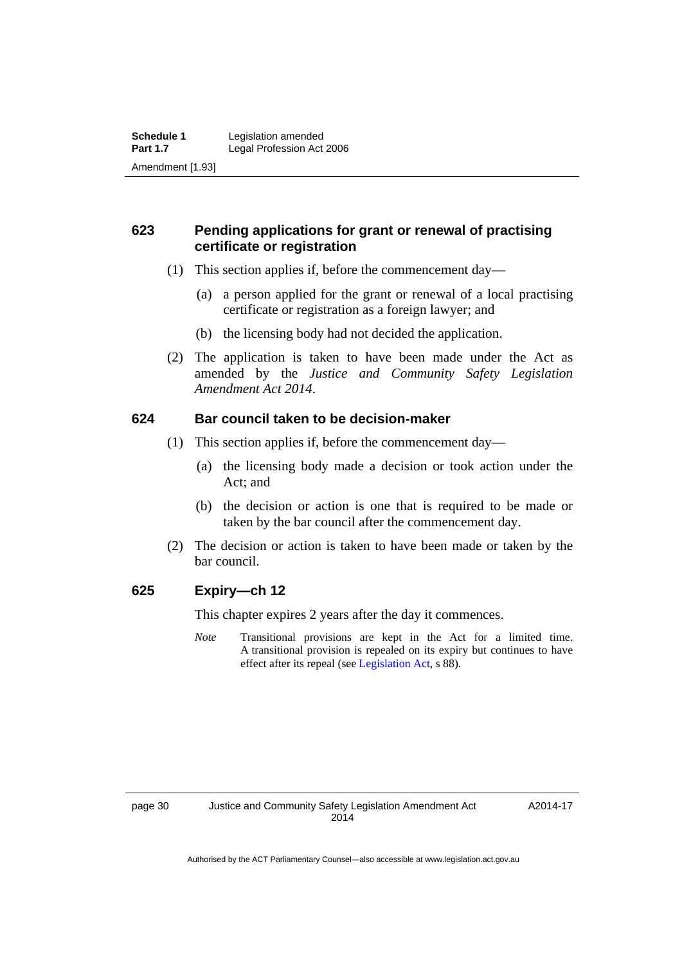## **623 Pending applications for grant or renewal of practising certificate or registration**

- (1) This section applies if, before the commencement day—
	- (a) a person applied for the grant or renewal of a local practising certificate or registration as a foreign lawyer; and
	- (b) the licensing body had not decided the application.
- (2) The application is taken to have been made under the Act as amended by the *Justice and Community Safety Legislation Amendment Act 2014*.

## **624 Bar council taken to be decision-maker**

- (1) This section applies if, before the commencement day—
	- (a) the licensing body made a decision or took action under the Act; and
	- (b) the decision or action is one that is required to be made or taken by the bar council after the commencement day.
- (2) The decision or action is taken to have been made or taken by the bar council.

## **625 Expiry—ch 12**

This chapter expires 2 years after the day it commences.

*Note* Transitional provisions are kept in the Act for a limited time. A transitional provision is repealed on its expiry but continues to have effect after its repeal (see [Legislation Act,](http://www.legislation.act.gov.au/a/2001-14) s 88).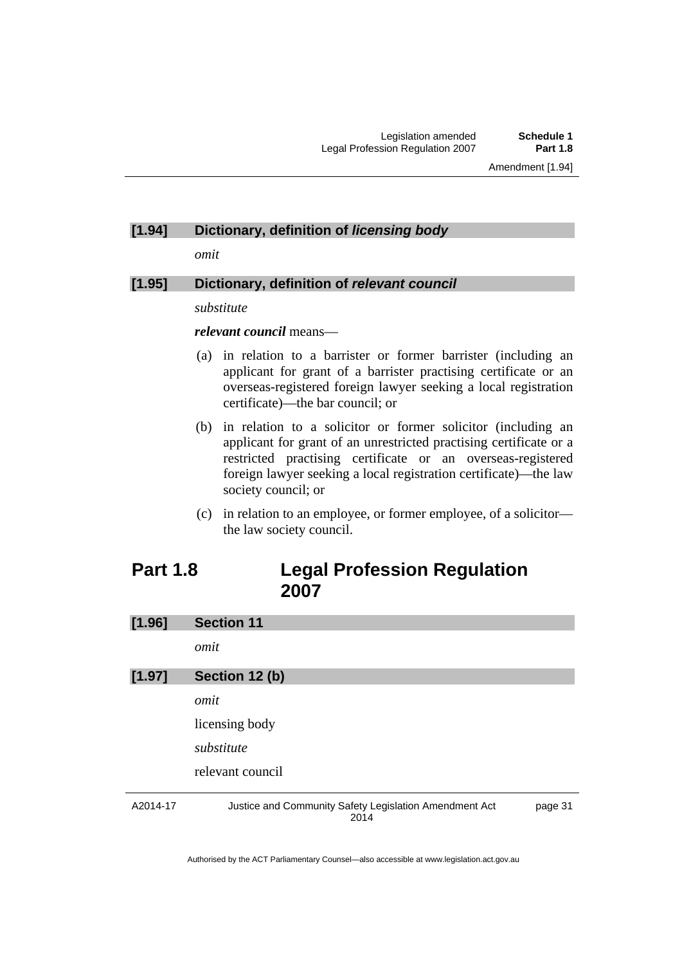#### **[1.94] Dictionary, definition of** *licensing body*

*omit* 

## **[1.95] Dictionary, definition of** *relevant council*

#### *substitute*

#### *relevant council* means—

- (a) in relation to a barrister or former barrister (including an applicant for grant of a barrister practising certificate or an overseas-registered foreign lawyer seeking a local registration certificate)—the bar council; or
- (b) in relation to a solicitor or former solicitor (including an applicant for grant of an unrestricted practising certificate or a restricted practising certificate or an overseas-registered foreign lawyer seeking a local registration certificate)—the law society council; or
- (c) in relation to an employee, or former employee, of a solicitor the law society council.

## <span id="page-32-0"></span>**Part 1.8 Legal Profession Regulation 2007**

| [1.96]   | <b>Section 11</b>                                              |         |
|----------|----------------------------------------------------------------|---------|
|          | omit                                                           |         |
| [1.97]   | Section 12 (b)                                                 |         |
|          | omit                                                           |         |
|          | licensing body                                                 |         |
|          | substitute                                                     |         |
|          | relevant council                                               |         |
| A2014-17 | Justice and Community Safety Legislation Amendment Act<br>2014 | page 31 |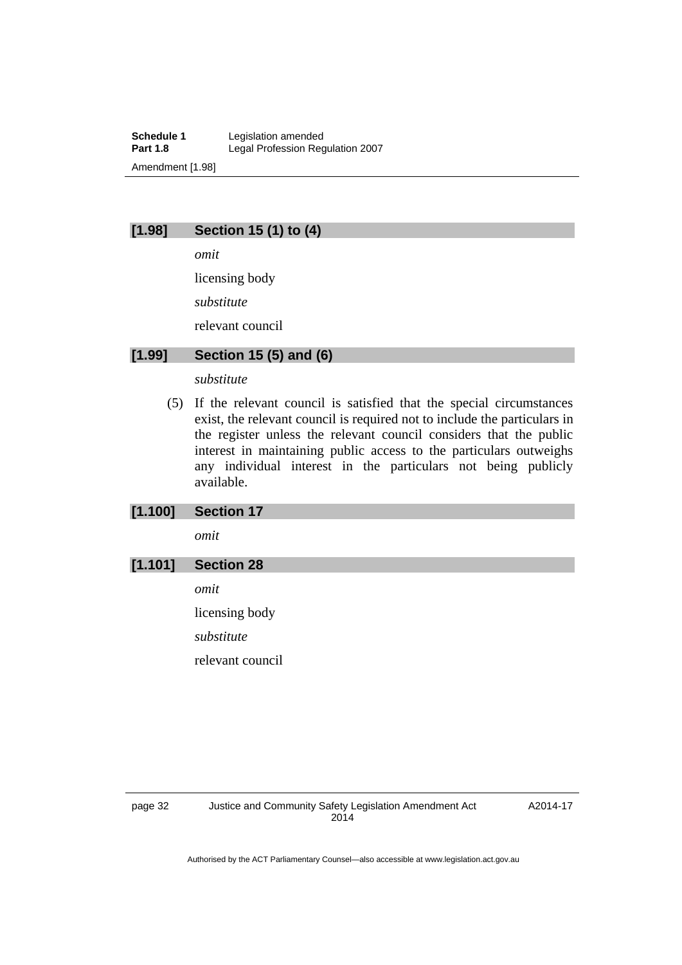**Schedule 1** Legislation amended<br> **Part 1.8** Legal Profession Rec Legal Profession Regulation 2007 Amendment [1.98]

## **[1.98] Section 15 (1) to (4)**

*omit* 

licensing body

*substitute* 

relevant council

## **[1.99] Section 15 (5) and (6)**

#### *substitute*

 (5) If the relevant council is satisfied that the special circumstances exist, the relevant council is required not to include the particulars in the register unless the relevant council considers that the public interest in maintaining public access to the particulars outweighs any individual interest in the particulars not being publicly available.

## **[1.100] Section 17**

*omit* 

## **[1.101] Section 28**

*omit* 

licensing body *substitute* 

relevant council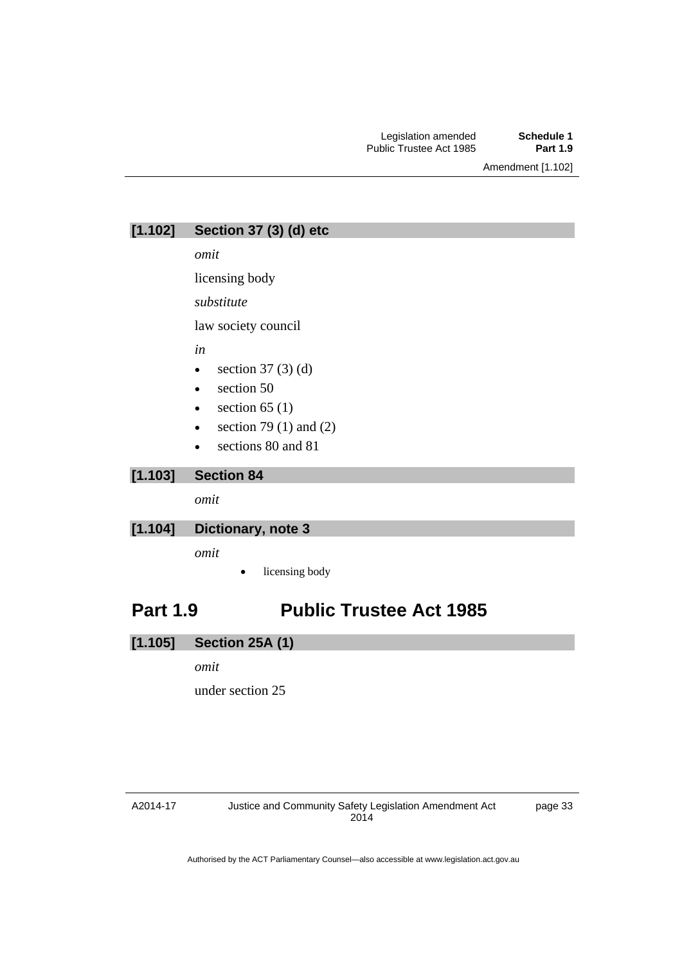Amendment [1.102]

**[1.102] Section 37 (3) (d) etc** 

*omit* 

licensing body

*substitute* 

law society council

*in* 

- $\bullet$  section 37 (3) (d)
- section 50
- $\bullet$  section 65 (1)
- section 79 (1) and (2)
- sections 80 and 81

## **[1.103] Section 84**

*omit* 

#### **[1.104] Dictionary, note 3**

*omit* 

licensing body

# <span id="page-34-0"></span>**Part 1.9 Public Trustee Act 1985**

## **[1.105] Section 25A (1)**

#### *omit*

under section 25

#### A2014-17

page 33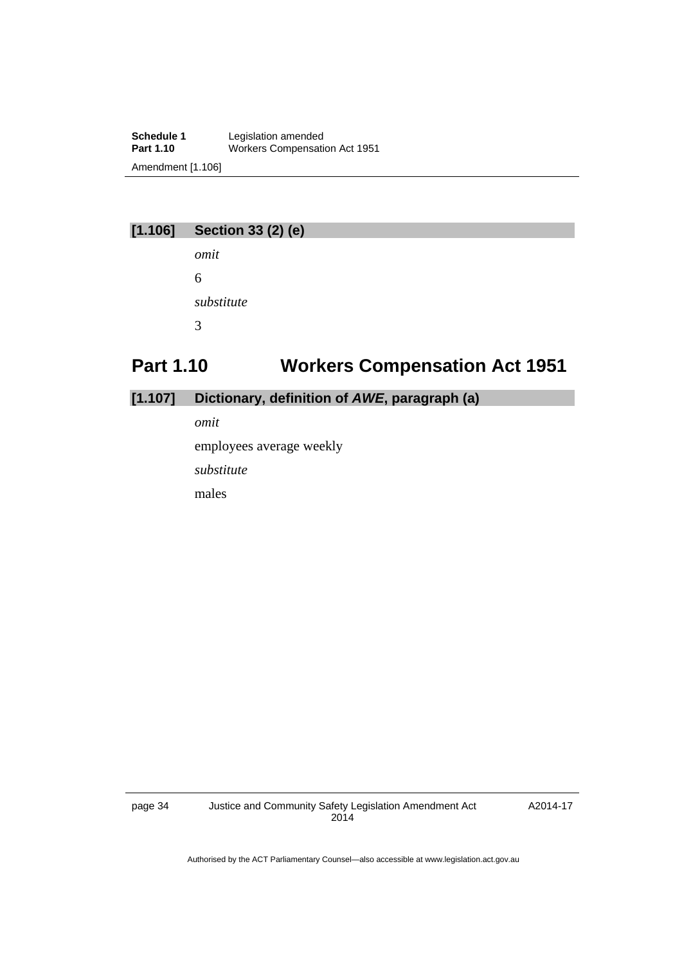**Schedule 1** Legislation amended<br> **Part 1.10** Workers Compensati **Part 1.10** Workers Compensation Act 1951 Amendment [1.106]

# **[1.106] Section 33 (2) (e)**

*omit*  6 *substitute*  3

# <span id="page-35-0"></span>**Part 1.10 Workers Compensation Act 1951**

## **[1.107] Dictionary, definition of** *AWE***, paragraph (a)**

*omit* 

employees average weekly

*substitute* 

males

page 34 Justice and Community Safety Legislation Amendment Act 2014

A2014-17